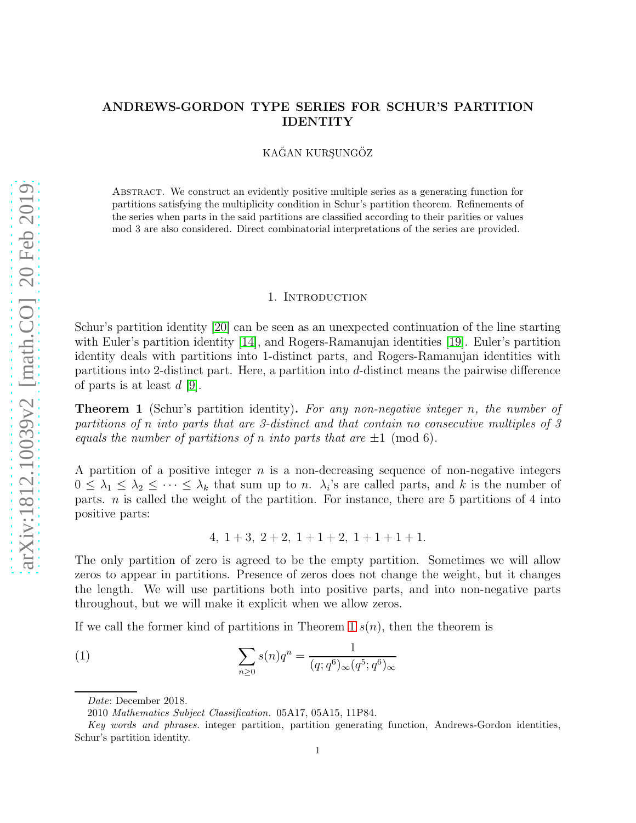# ANDREWS-GORDON TYPE SERIES FOR SCHUR'S PARTITION IDENTITY

KAĞAN KURŞUNGÖZ

Abstract. We construct an evidently positive multiple series as a generating function for partitions satisfying the multiplicity condition in Schur's partition theorem. Refinements of the series when parts in the said partitions are classified according to their parities or values mod 3 are also considered. Direct combinatorial interpretations of the series are provided.

### 1. INTRODUCTION

Schur's partition identity [\[20\]](#page-18-0) can be seen as an unexpected continuation of the line starting with Euler's partition identity [\[14\]](#page-18-1), and Rogers-Ramanujan identities [\[19\]](#page-18-2). Euler's partition identity deals with partitions into 1-distinct parts, and Rogers-Ramanujan identities with partitions into 2-distinct part. Here, a partition into d-distinct means the pairwise difference of parts is at least  $d$  [\[9\]](#page-18-3).

<span id="page-0-0"></span>**Theorem 1** (Schur's partition identity). For any non-negative integer n, the number of partitions of n into parts that are 3-distinct and that contain no consecutive multiples of 3 equals the number of partitions of n into parts that are  $\pm 1 \pmod{6}$ .

A partition of a positive integer  $n$  is a non-decreasing sequence of non-negative integers  $0 \leq \lambda_1 \leq \lambda_2 \leq \cdots \leq \lambda_k$  that sum up to *n*.  $\lambda_i$ 's are called parts, and k is the number of parts.  $n$  is called the weight of the partition. For instance, there are 5 partitions of 4 into positive parts:

$$
4, 1+3, 2+2, 1+1+2, 1+1+1+1.
$$

The only partition of zero is agreed to be the empty partition. Sometimes we will allow zeros to appear in partitions. Presence of zeros does not change the weight, but it changes the length. We will use partitions both into positive parts, and into non-negative parts throughout, but we will make it explicit when we allow zeros.

If we call the former kind of partitions in Theorem [1](#page-0-0)  $s(n)$ , then the theorem is

<span id="page-0-1"></span>(1) 
$$
\sum_{n\geq 0} s(n)q^n = \frac{1}{(q;q^6)_{\infty}(q^5;q^6)_{\infty}}
$$

Date: December 2018.

<sup>2010</sup> Mathematics Subject Classification. 05A17, 05A15, 11P84.

Key words and phrases. integer partition, partition generating function, Andrews-Gordon identities, Schur's partition identity.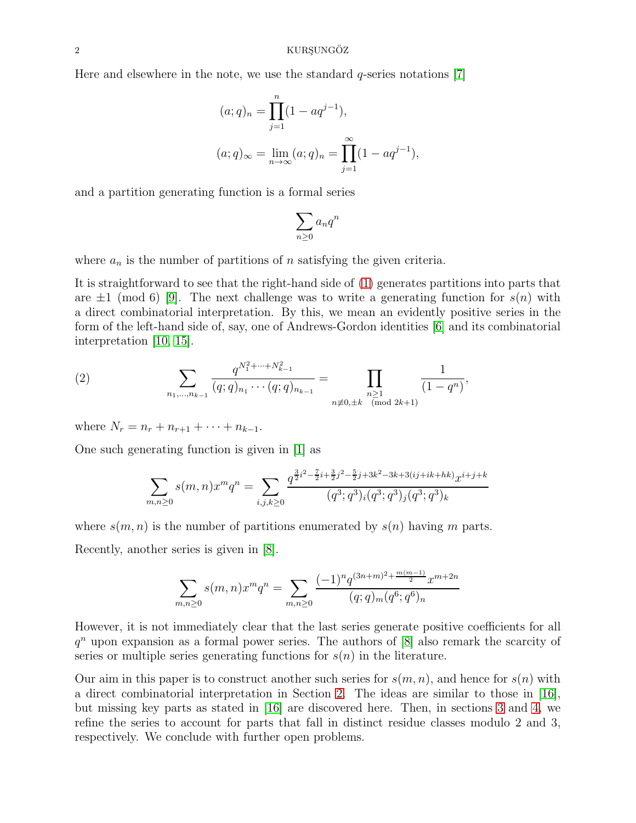Here and elsewhere in the note, we use the standard  $q$ -series notations  $[7]$ 

$$
(a;q)_n = \prod_{j=1}^n (1 - aq^{j-1}),
$$
  
\n
$$
(a;q)_{\infty} = \lim_{n \to \infty} (a;q)_n = \prod_{j=1}^{\infty} (1 - aq^{j-1}),
$$

and a partition generating function is a formal series

$$
\sum_{n\geq 0} a_n q^n
$$

where  $a_n$  is the number of partitions of n satisfying the given criteria.

It is straightforward to see that the right-hand side of [\(1\)](#page-0-1) generates partitions into parts that are  $\pm 1 \pmod{6}$  [\[9\]](#page-18-3). The next challenge was to write a generating function for  $s(n)$  with a direct combinatorial interpretation. By this, we mean an evidently positive series in the form of the left-hand side of, say, one of Andrews-Gordon identities [\[6\]](#page-18-5) and its combinatorial interpretation [\[10,](#page-18-6) [15\]](#page-18-7).

(2) 
$$
\sum_{n_1,\dots,n_{k-1}} \frac{q^{N_1^2+\dots+N_{k-1}^2}}{(q;q)_{n_1}\cdots(q;q)_{n_{k-1}}} = \prod_{\substack{n\geq 1\\n\not\equiv 0,\pm k \pmod{2k+1}}} \frac{1}{(1-q^n)},
$$

where  $N_r = n_r + n_{r+1} + \cdots + n_{k-1}$ .

One such generating function is given in [\[1\]](#page-17-0) as

$$
\sum_{m,n\geq 0} s(m,n)x^m q^n = \sum_{i,j,k\geq 0} \frac{q^{\frac{3}{2}i^2 - \frac{7}{2}i + \frac{3}{2}j^2 - \frac{5}{2}j + 3k^2 - 3k + 3(ij + ik + hk)}x^{i+j+k}}{(q^3;q^3)_i(q^3;q^3)_j(q^3;q^3)_k}
$$

where  $s(m, n)$  is the number of partitions enumerated by  $s(n)$  having m parts.

Recently, another series is given in [\[8\]](#page-18-8).

$$
\sum_{m,n\geq 0} s(m,n)x^m q^n = \sum_{m,n\geq 0} \frac{(-1)^n q^{(3n+m)^2 + \frac{m(m-1)}{2}} x^{m+2n}}{(q;q)_m (q^6;q^6)_n}
$$

However, it is not immediately clear that the last series generate positive coefficients for all  $q<sup>n</sup>$  upon expansion as a formal power series. The authors of [\[8\]](#page-18-8) also remark the scarcity of series or multiple series generating functions for  $s(n)$  in the literature.

Our aim in this paper is to construct another such series for  $s(m, n)$ , and hence for  $s(n)$  with a direct combinatorial interpretation in Section [2.](#page-2-0) The ideas are similar to those in [\[16\]](#page-18-9), but missing key parts as stated in [\[16\]](#page-18-9) are discovered here. Then, in sections [3](#page-10-0) and [4,](#page-13-0) we refine the series to account for parts that fall in distinct residue classes modulo 2 and 3, respectively. We conclude with further open problems.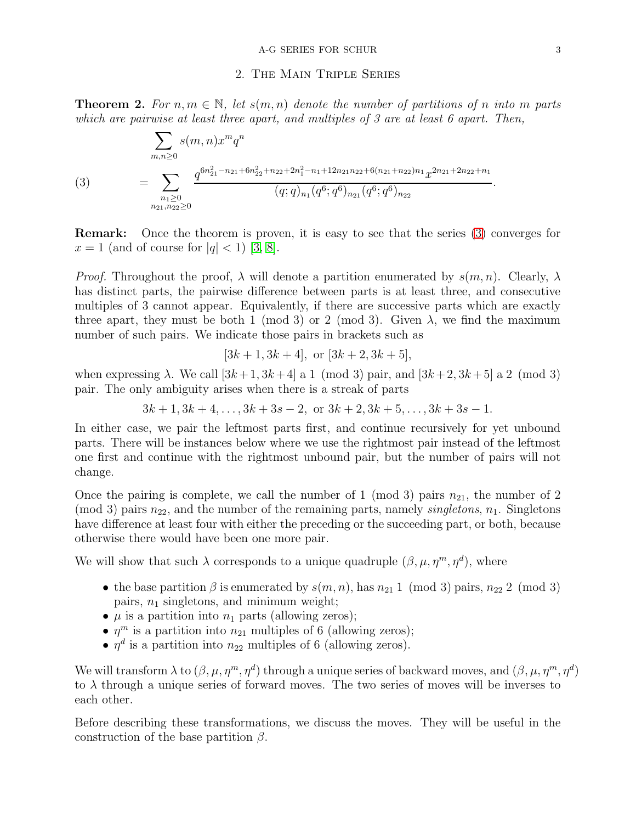### 2. The Main Triple Series

<span id="page-2-2"></span><span id="page-2-0"></span>**Theorem 2.** For  $n, m \in \mathbb{N}$ , let  $s(m, n)$  denote the number of partitions of n into m parts which are pairwise at least three apart, and multiples of 3 are at least 6 apart. Then,

<span id="page-2-1"></span>
$$
(3) \qquad \qquad = \sum_{\substack{n_1 \geq 0 \\ n_2 \geq 0}} s(m,n)x^m q^n
$$
\n
$$
= \sum_{\substack{n_1 \geq 0 \\ n_2 \geq 0}} \frac{q^{6n_{21}^2 - n_{21} + 6n_{22}^2 + n_{22} + 2n_1^2 - n_1 + 12n_{21}n_{22} + 6(n_{21} + n_{22})n_1} x^{2n_{21} + 2n_{22} + n_1}}{(q;q)_{n_1} (q^6;q^6)_{n_{21}} (q^6;q^6)_{n_{22}}}.
$$

Remark: Once the theorem is proven, it is easy to see that the series [\(3\)](#page-2-1) converges for  $x = 1$  (and of course for  $|q| < 1$ ) [\[3,](#page-17-1) [8\]](#page-18-8).

*Proof.* Throughout the proof,  $\lambda$  will denote a partition enumerated by  $s(m, n)$ . Clearly,  $\lambda$ has distinct parts, the pairwise difference between parts is at least three, and consecutive multiples of 3 cannot appear. Equivalently, if there are successive parts which are exactly three apart, they must be both 1 (mod 3) or 2 (mod 3). Given  $\lambda$ , we find the maximum number of such pairs. We indicate those pairs in brackets such as

$$
[3k+1, 3k+4]
$$
, or  $[3k+2, 3k+5]$ ,

when expressing  $\lambda$ . We call  $[3k+1, 3k+4]$  a 1 (mod 3) pair, and  $[3k+2, 3k+5]$  a 2 (mod 3) pair. The only ambiguity arises when there is a streak of parts

$$
3k+1, 3k+4, ..., 3k+3s-2
$$
, or  $3k+2, 3k+5, ..., 3k+3s-1$ .

In either case, we pair the leftmost parts first, and continue recursively for yet unbound parts. There will be instances below where we use the rightmost pair instead of the leftmost one first and continue with the rightmost unbound pair, but the number of pairs will not change.

Once the pairing is complete, we call the number of 1 (mod 3) pairs  $n_{21}$ , the number of 2 (mod 3) pairs  $n_{22}$ , and the number of the remaining parts, namely *singletons*,  $n_1$ . Singletons have difference at least four with either the preceding or the succeeding part, or both, because otherwise there would have been one more pair.

We will show that such  $\lambda$  corresponds to a unique quadruple  $(\beta, \mu, \eta^m, \eta^d)$ , where

- the base partition  $\beta$  is enumerated by  $s(m, n)$ , has  $n_{21}$  1 (mod 3) pairs,  $n_{22}$  2 (mod 3) pairs,  $n_1$  singletons, and minimum weight;
- $\mu$  is a partition into  $n_1$  parts (allowing zeros);
- $\eta^m$  is a partition into  $n_{21}$  multiples of 6 (allowing zeros);
- $\eta^d$  is a partition into  $n_{22}$  multiples of 6 (allowing zeros).

We will transform  $\lambda$  to  $(\beta,\mu,\eta^m,\eta^d)$  through a unique series of backward moves, and  $(\beta,\mu,\eta^m,\eta^d)$ to  $\lambda$  through a unique series of forward moves. The two series of moves will be inverses to each other.

Before describing these transformations, we discuss the moves. They will be useful in the construction of the base partition  $\beta$ .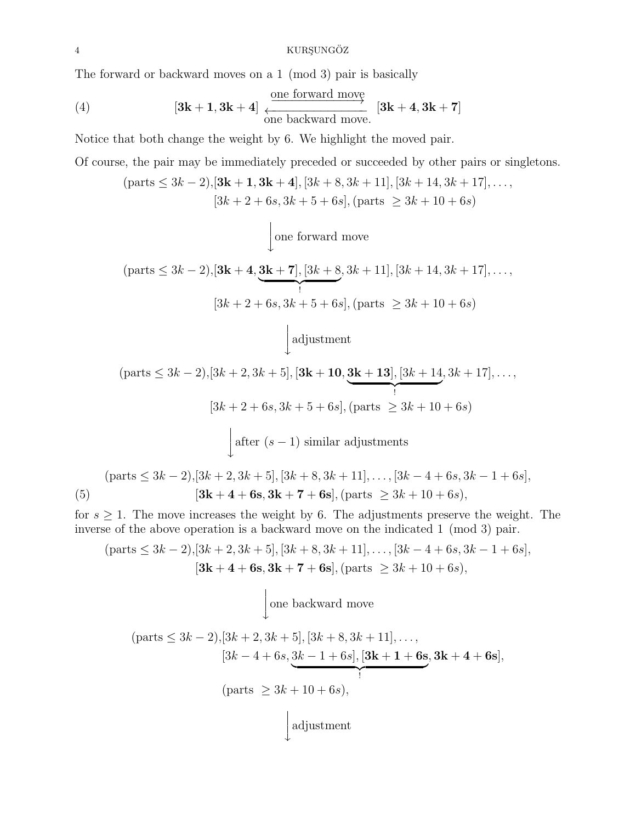#### 4 KURSUNGÖZ

The forward or backward moves on a 1 (mod 3) pair is basically

(4) 
$$
[3k + 1, 3k + 4] \xrightarrow{\text{one forward move}} [3k + 4, 3k + 7]
$$
  
one backward move. 
$$
[3k + 4, 3k + 7]
$$

Notice that both change the weight by 6. We highlight the moved pair.

Of course, the pair may be immediately preceded or succeeded by other pairs or singletons.

$$
(\text{parts} \le 3k - 2), [\mathbf{3k + 1}, \mathbf{3k + 4}], [3k + 8, 3k + 11], [3k + 14, 3k + 17], \dots,
$$
  

$$
[3k + 2 + 6s, 3k + 5 + 6s], (\text{parts } \ge 3k + 10 + 6s)
$$

 $\leftarrow$ one forward move

$$
(\text{parts} \le 3k - 2), [\mathbf{3k + 4}, \underbrace{\mathbf{3k + 7}}, [3k + 8, 3k + 11], [3k + 14, 3k + 17], \dots,
$$
  

$$
[3k + 2 + 6s, 3k + 5 + 6s], (\text{parts } \ge 3k + 10 + 6s)
$$

 adjustment  $\downarrow$ 

$$
(\text{parts} \le 3k - 2), [3k + 2, 3k + 5], [3k + 10, \underbrace{3k + 13}, [3k + 14, 3k + 17], \dots,
$$
  
\n
$$
[3k + 2 + 6s, 3k + 5 + 6s], (\text{parts} \ge 3k + 10 + 6s)
$$
  
\n
$$
\int \text{after } (s - 1) \text{ similar adjustments}
$$
  
\n
$$
(\text{parts} \le 3k - 2), [3k + 2, 3k + 5], [3k + 8, 3k + 11], \dots, [3k - 4 + 6s, 3k - 1 + 6s],
$$
  
\n
$$
[3k + 4 + 6s, 3k + 7 + 6s], (\text{parts} \ge 3k + 10 + 6s),
$$

<span id="page-3-0"></span>for  $s \geq 1$ . The move increases the weight by 6. The adjustments preserve the weight. The inverse of the above operation is a backward move on the indicated 1 (mod 3) pair.

$$
(\text{parts} \le 3k - 2), [3k + 2, 3k + 5], [3k + 8, 3k + 11], \dots, [3k - 4 + 6s, 3k - 1 + 6s],
$$
  

$$
[3k + 4 + 6s, 3k + 7 + 6s], (\text{parts} \ge 3k + 10 + 6s),
$$

 $\leftarrow$ one backward move

$$
(\text{parts} \le 3k - 2), [3k + 2, 3k + 5], [3k + 8, 3k + 11], \dots,
$$
  
\n
$$
[3k - 4 + 6s, \underbrace{3k - 1 + 6s}, [3k + 1 + 6s, 3k + 4 + 6s],
$$
  
\n
$$
(\text{parts} \ge 3k + 10 + 6s),
$$
  
\n
$$
\downarrow \text{adjustment}
$$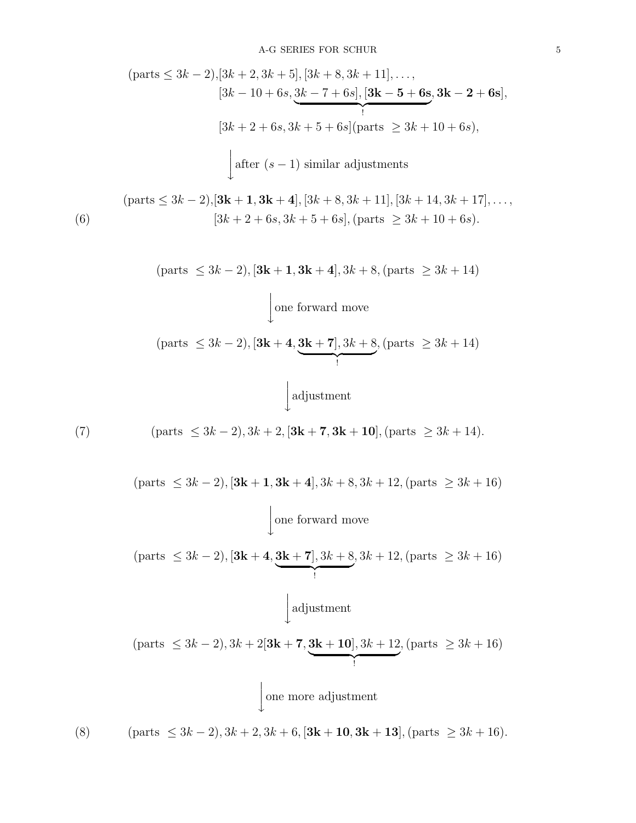<span id="page-4-1"></span><span id="page-4-0"></span>\n
$$
(parts \leq 3k - 2), [3k + 2, 3k + 5], [3k + 8, 3k + 11], \ldots,
$$
\n
$$
[3k - 10 + 6s, \underbrace{3k - 7 + 6s}, [3k - 5 + 6s, 3k - 2 + 6s],
$$
\n
$$
[3k + 2 + 6s, 3k + 5 + 6s][parts \geq 3k + 10 + 6s),
$$
\n
$$
[after (s - 1) similar adjustments
$$
\n\n
$$
(parts \leq 3k - 2), [3k + 1, 3k + 4], [3k + 8, 3k + 11], [3k + 14, 3k + 17], \ldots,
$$
\n

\n\n
$$
(6)
$$
\n
$$
[3k + 2 + 6s, 3k + 5 + 6s], (parts \geq 3k + 10 + 6s).
$$
\n\n
$$
(parts \leq 3k - 2), [3k + 1, 3k + 4], 3k + 8, (parts \geq 3k + 14)
$$
\n
$$
[one forward move
$$
\n\n
$$
(parts \leq 3k - 2), [3k + 4, \underbrace{3k + 7}, 3k + 8, (parts \geq 3k + 14),
$$
\n
$$
[adjustment
$$
\n\n
$$
(7)
$$
\n
$$
(parts \leq 3k - 2), 3k + 2, [3k + 7, 3k + 10], (parts \geq 3k + 14).
$$
\n\n
$$
(parts \leq 3k - 2), [3k + 1, 3k + 4], 3k + 8, 3k + 12, (parts \geq 3k + 16)
$$
\n
$$
[one forward move
$$
\n\n
$$
(parts \leq 3k - 2), [3k + 4, \underbrace{3k + 7], 3k + 8}, 3k + 12, (parts \geq 3k + 16)
$$
\n
$$
[alljustment
$$
\n\n
$$
(parts \leq 3k - 2), 3k + 2[3k + 7, \underbrace{3k + 10}, 3k + 12, (parts \geq 3k + 16),
$$
\n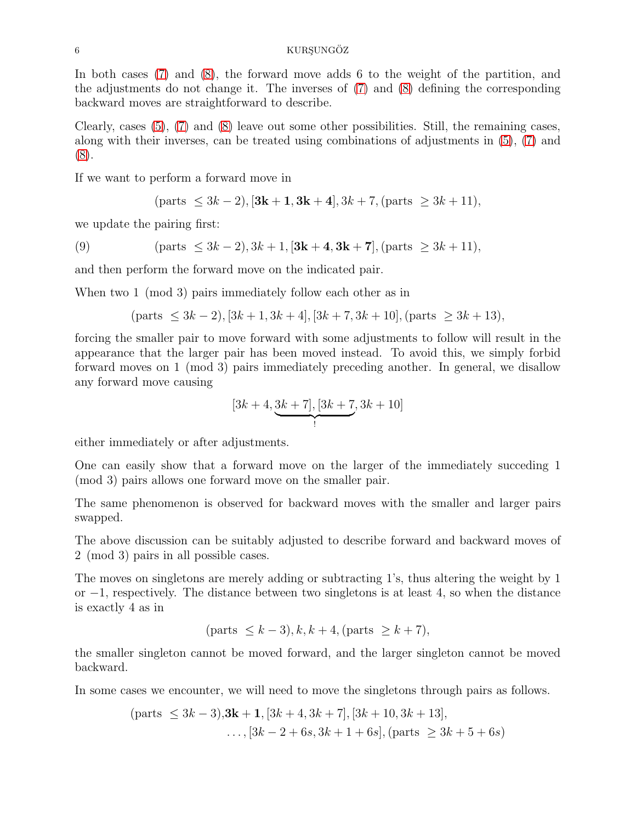In both cases [\(7\)](#page-4-0) and [\(8\)](#page-4-1), the forward move adds 6 to the weight of the partition, and the adjustments do not change it. The inverses of [\(7\)](#page-4-0) and [\(8\)](#page-4-1) defining the corresponding backward moves are straightforward to describe.

Clearly, cases [\(5\)](#page-3-0), [\(7\)](#page-4-0) and [\(8\)](#page-4-1) leave out some other possibilities. Still, the remaining cases, along with their inverses, can be treated using combinations of adjustments in [\(5\)](#page-3-0), [\(7\)](#page-4-0) and [\(8\)](#page-4-1).

If we want to perform a forward move in

$$
(parts \leq 3k - 2), [3k + 1, 3k + 4], 3k + 7, (parts \geq 3k + 11),
$$

we update the pairing first:

(9) 
$$
(parts \leq 3k - 2), 3k + 1, [3k + 4, 3k + 7], (parts \geq 3k + 11),
$$

and then perform the forward move on the indicated pair.

When two 1 (mod 3) pairs immediately follow each other as in

$$
(parts \leq 3k-2), [3k+1, 3k+4], [3k+7, 3k+10], (parts \geq 3k+13),
$$

forcing the smaller pair to move forward with some adjustments to follow will result in the appearance that the larger pair has been moved instead. To avoid this, we simply forbid forward moves on 1 (mod 3) pairs immediately preceding another. In general, we disallow any forward move causing

$$
[3k+4,\underbrace{3k+7}_{!},[3k+7,3k+10]
$$

either immediately or after adjustments.

One can easily show that a forward move on the larger of the immediately succeding 1 (mod 3) pairs allows one forward move on the smaller pair.

The same phenomenon is observed for backward moves with the smaller and larger pairs swapped.

The above discussion can be suitably adjusted to describe forward and backward moves of 2 (mod 3) pairs in all possible cases.

The moves on singletons are merely adding or subtracting 1's, thus altering the weight by 1 or −1, respectively. The distance between two singletons is at least 4, so when the distance is exactly 4 as in

$$
(\text{parts } \le k - 3), k, k + 4, (\text{parts } \ge k + 7),
$$

the smaller singleton cannot be moved forward, and the larger singleton cannot be moved backward.

In some cases we encounter, we will need to move the singletons through pairs as follows.

$$
(\text{parts } \leq 3k - 3), 3k + 1, [3k + 4, 3k + 7], [3k + 10, 3k + 13],
$$
  
...,  $[3k - 2 + 6s, 3k + 1 + 6s], (\text{parts } \geq 3k + 5 + 6s)$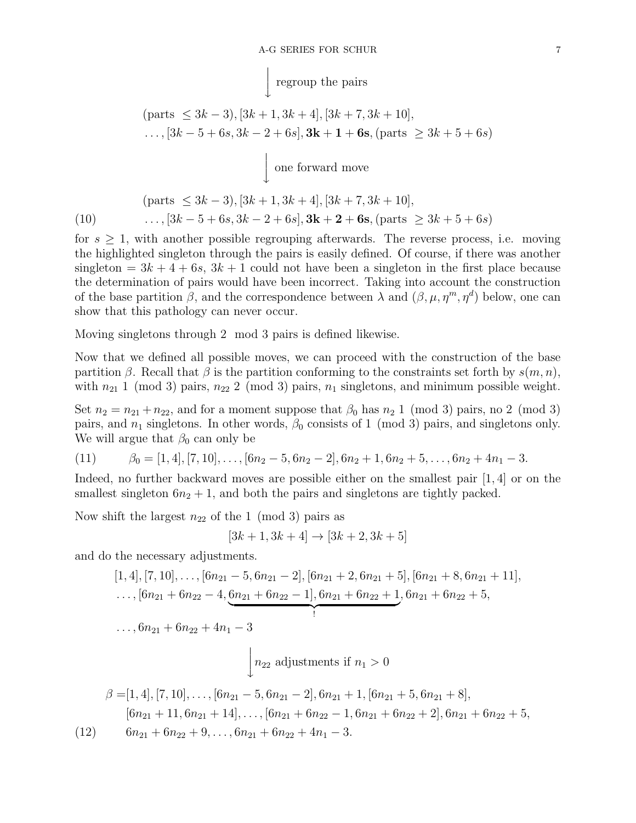$$
\int_{\mathcal{L}} \text{regroup the pairs}
$$

$$
(\text{parts } \leq 3k - 3), [3k + 1, 3k + 4], [3k + 7, 3k + 10],
$$
  
...,  $[3k - 5 + 6s, 3k - 2 + 6s], 3k + 1 + 6s, (\text{parts } \geq 3k + 5 + 6s)$ 

 $\overline{1}$  $\overline{\phantom{a}}$  $\overline{1}$  $\downarrow$ one forward move

$$
\begin{aligned} \text{(parts } \leq 3k - 3), [3k + 1, 3k + 4], [3k + 7, 3k + 10],\\ \text{(10)} \qquad \qquad \dots, [3k - 5 + 6s, 3k - 2 + 6s], \mathbf{3k} + \mathbf{2} + \mathbf{6s}, \text{(parts } \geq 3k + 5 + 6s) \end{aligned}
$$

 $\overline{1}$ 

for  $s \geq 1$ , with another possible regrouping afterwards. The reverse process, i.e. moving the highlighted singleton through the pairs is easily defined. Of course, if there was another singleton =  $3k + 4 + 6s$ ,  $3k + 1$  could not have been a singleton in the first place because the determination of pairs would have been incorrect. Taking into account the construction of the base partition  $\beta$ , and the correspondence between  $\lambda$  and  $(\beta, \mu, \eta^m, \eta^d)$  below, one can show that this pathology can never occur.

Moving singletons through 2 mod 3 pairs is defined likewise.

Now that we defined all possible moves, we can proceed with the construction of the base partition β. Recall that β is the partition conforming to the constraints set forth by  $s(m, n)$ , with  $n_{21}$  1 (mod 3) pairs,  $n_{22}$  2 (mod 3) pairs,  $n_1$  singletons, and minimum possible weight.

Set  $n_2 = n_{21} + n_{22}$ , and for a moment suppose that  $\beta_0$  has  $n_2$  1 (mod 3) pairs, no 2 (mod 3) pairs, and  $n_1$  singletons. In other words,  $\beta_0$  consists of 1 (mod 3) pairs, and singletons only. We will argue that  $\beta_0$  can only be

<span id="page-6-1"></span>(11) 
$$
\beta_0 = [1, 4], [7, 10], \dots, [6n_2 - 5, 6n_2 - 2], 6n_2 + 1, 6n_2 + 5, \dots, 6n_2 + 4n_1 - 3.
$$

Indeed, no further backward moves are possible either on the smallest pair [1, 4] or on the smallest singleton  $6n_2 + 1$ , and both the pairs and singletons are tightly packed.

Now shift the largest  $n_{22}$  of the 1 (mod 3) pairs as

$$
[3k+1, 3k+4] \to [3k+2, 3k+5]
$$

and do the necessary adjustments.

$$
[1,4], [7,10], \ldots, [6n_{21} - 5, 6n_{21} - 2], [6n_{21} + 2, 6n_{21} + 5], [6n_{21} + 8, 6n_{21} + 11],
$$
  
\ldots,  $[6n_{21} + 6n_{22} - 4, \underbrace{6n_{21} + 6n_{22} - 1], 6n_{21} + 6n_{22} + 1}_{!}, 6n_{21} + 6n_{22} + 5,$   
\ldots,  $6n_{21} + 6n_{22} + 4n_1 - 3$   
\n
$$
\downarrow n_{22} \text{ adjustments if } n_1 > 0
$$

<span id="page-6-0"></span>
$$
\beta = [1, 4], [7, 10], \dots, [6n_{21} - 5, 6n_{21} - 2], 6n_{21} + 1, [6n_{21} + 5, 6n_{21} + 8],
$$
  
\n
$$
[6n_{21} + 11, 6n_{21} + 14], \dots, [6n_{21} + 6n_{22} - 1, 6n_{21} + 6n_{22} + 2], 6n_{21} + 6n_{22} + 5,
$$
  
\n
$$
(12) \qquad 6n_{21} + 6n_{22} + 9, \dots, 6n_{21} + 6n_{22} + 4n_{1} - 3.
$$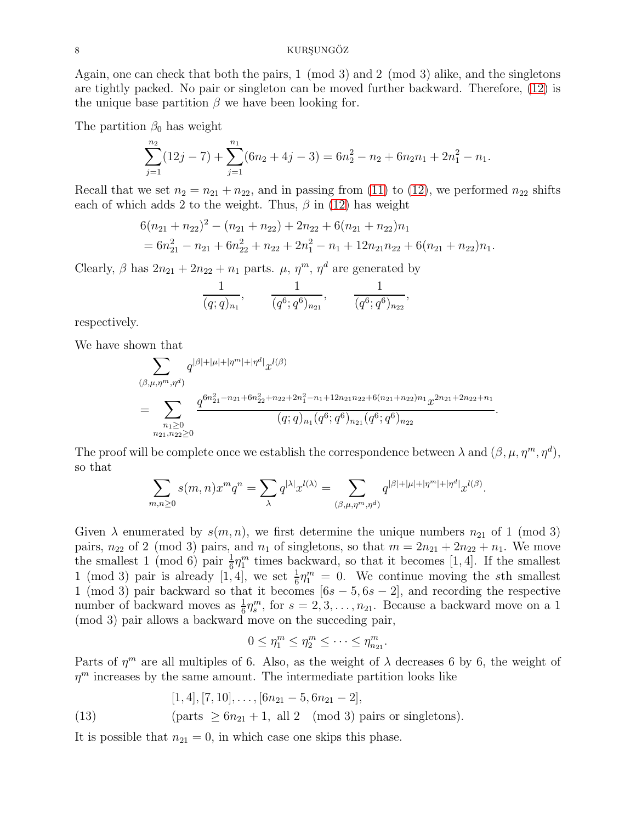#### 8 KURSUNGÖZ

Again, one can check that both the pairs, 1 (mod 3) and 2 (mod 3) alike, and the singletons are tightly packed. No pair or singleton can be moved further backward. Therefore, [\(12\)](#page-6-0) is the unique base partition  $\beta$  we have been looking for.

The partition  $\beta_0$  has weight

$$
\sum_{j=1}^{n_2} (12j - 7) + \sum_{j=1}^{n_1} (6n_2 + 4j - 3) = 6n_2^2 - n_2 + 6n_2n_1 + 2n_1^2 - n_1.
$$

Recall that we set  $n_2 = n_{21} + n_{22}$ , and in passing from [\(11\)](#page-6-1) to [\(12\)](#page-6-0), we performed  $n_{22}$  shifts each of which adds 2 to the weight. Thus,  $\beta$  in [\(12\)](#page-6-0) has weight

$$
6(n_{21} + n_{22})^2 - (n_{21} + n_{22}) + 2n_{22} + 6(n_{21} + n_{22})n_1
$$
  
=  $6n_{21}^2 - n_{21} + 6n_{22}^2 + n_{22} + 2n_1^2 - n_1 + 12n_{21}n_{22} + 6(n_{21} + n_{22})n_1.$ 

Clearly,  $\beta$  has  $2n_{21} + 2n_{22} + n_1$  parts.  $\mu$ ,  $\eta^m$ ,  $\eta^d$  are generated by

$$
\frac{1}{(q;q)_{n_1}}, \qquad \frac{1}{(q^6;q^6)_{n_{21}}}, \qquad \frac{1}{(q^6;q^6)_{n_{22}}},
$$

respectively.

We have shown that

$$
\sum_{\substack{(\beta,\mu,\eta^m,\eta^d) \\ \cdots \\ n_1 \ge 0}} q^{|\beta|+|\mu|+|\eta^m|+|\eta^d|} x^{l(\beta)} \n= \sum_{\substack{n_1 \ge 0 \\ n_2_1, n_2_2 \ge 0}} \frac{q^{6n_{21}^2 - n_{21} + 6n_{22}^2 + n_{22} + 2n_1^2 - n_1 + 12n_{21}n_{22} + 6(n_{21} + n_{22})n_1} x^{2n_{21} + 2n_{22} + n_1}}{(q;q)_{n_1} (q^6;q^6)_{n_{21}} (q^6;q^6)_{n_{22}}}
$$

.

The proof will be complete once we establish the correspondence between  $\lambda$  and  $(\beta, \mu, \eta^m, \eta^d)$ , so that

$$
\sum_{m,n\geq 0} s(m,n)x^mq^n=\sum_{\lambda} q^{|\lambda|}x^{l(\lambda)}=\sum_{(\beta,\mu,\eta^m,\eta^d)} q^{|\beta|+|\mu|+|\eta^m|+|\eta^d|}x^{l(\beta)}.
$$

Given  $\lambda$  enumerated by  $s(m, n)$ , we first determine the unique numbers  $n_{21}$  of 1 (mod 3) pairs,  $n_{22}$  of 2 (mod 3) pairs, and  $n_1$  of singletons, so that  $m = 2n_{21} + 2n_{22} + n_1$ . We move the smallest 1 (mod 6) pair  $\frac{1}{6}\eta_1^m$  times backward, so that it becomes [1, 4]. If the smallest 1 (mod 3) pair is already [1, 4], we set  $\frac{1}{6}\eta_1^m = 0$ . We continue moving the sth smallest 1 (mod 3) pair backward so that it becomes  $[6s - 5, 6s - 2]$ , and recording the respective number of backward moves as  $\frac{1}{6}\eta_s^m$ , for  $s = 2, 3, ..., n_{21}$ . Because a backward move on a 1 (mod 3) pair allows a backward move on the succeding pair,

$$
0 \leq \eta_1^m \leq \eta_2^m \leq \cdots \leq \eta_{n_{21}}^m.
$$

Parts of  $\eta^m$  are all multiples of 6. Also, as the weight of  $\lambda$  decreases 6 by 6, the weight of  $\eta^m$  increases by the same amount. The intermediate partition looks like

$$
[1,4], [7,10], \ldots, [6n_{21}-5, 6n_{21}-2],
$$

<span id="page-7-0"></span>(13) (parts 
$$
\geq 6n_{21} + 1
$$
, all 2 (mod 3) pairs or singletons).

It is possible that  $n_{21} = 0$ , in which case one skips this phase.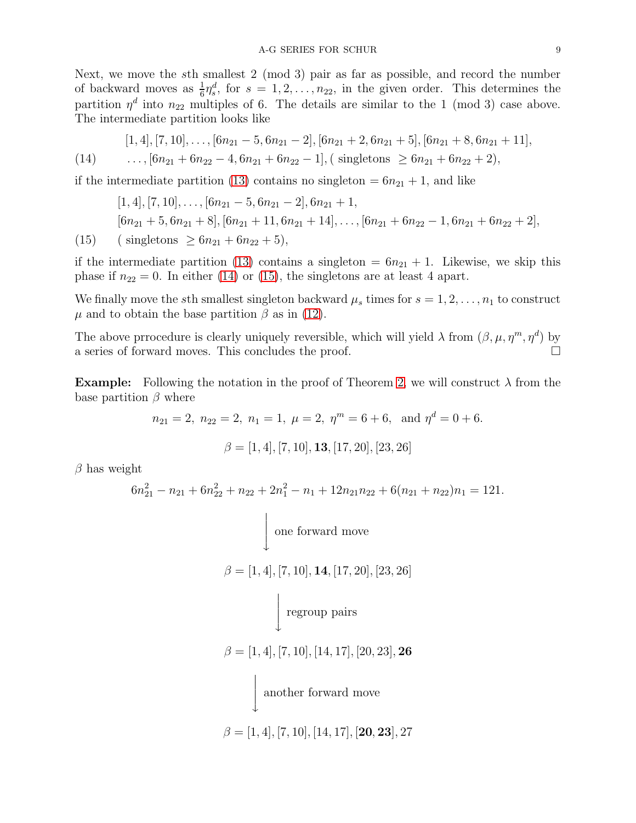Next, we move the sth smallest 2 (mod 3) pair as far as possible, and record the number of backward moves as  $\frac{1}{6}\eta_s^d$ , for  $s = 1, 2, \ldots, n_{22}$ , in the given order. This determines the partition  $\eta^d$  into  $n_{22}$  multiples of 6. The details are similar to the 1 (mod 3) case above. The intermediate partition looks like

$$
[1,4], [7,10], \ldots, [6n_{21}-5, 6n_{21}-2], [6n_{21}+2, 6n_{21}+5], [6n_{21}+8, 6n_{21}+11],
$$

<span id="page-8-0"></span>
$$
(14) \qquad \ldots, [6n_{21} + 6n_{22} - 4, 6n_{21} + 6n_{22} - 1], (\text{ singletons } \geq 6n_{21} + 6n_{22} + 2),
$$

if the intermediate partition [\(13\)](#page-7-0) contains no singleton  $= 6n_{21} + 1$ , and like

$$
[1,4], [7,10], \ldots, [6n_{21} - 5, 6n_{21} - 2], 6n_{21} + 1,
$$
  
\n
$$
[6n_{21} + 5, 6n_{21} + 8], [6n_{21} + 11, 6n_{21} + 14], \ldots, [6n_{21} + 6n_{22} - 1, 6n_{21} + 6n_{22} + 2],
$$
  
\n
$$
(15) \quad (\text{singletons} \ge 6n_{21} + 6n_{22} + 5),
$$

<span id="page-8-1"></span>if the intermediate partition [\(13\)](#page-7-0) contains a singleton =  $6n_{21} + 1$ . Likewise, we skip this phase if  $n_{22} = 0$ . In either [\(14\)](#page-8-0) or [\(15\)](#page-8-1), the singletons are at least 4 apart.

We finally move the sth smallest singleton backward  $\mu_s$  times for  $s = 1, 2, \ldots, n_1$  to construct  $\mu$  and to obtain the base partition  $\beta$  as in [\(12\)](#page-6-0).

The above prrocedure is clearly uniquely reversible, which will yield  $\lambda$  from  $(\beta, \mu, \eta^m, \eta^d)$  by a series of forward moves. This concludes the proof.

**Example:** Following the notation in the proof of Theorem [2,](#page-2-2) we will construct  $\lambda$  from the base partition  $\beta$  where

$$
n_{21} = 2
$$
,  $n_{22} = 2$ ,  $n_1 = 1$ ,  $\mu = 2$ ,  $\eta^m = 6 + 6$ , and  $\eta^d = 0 + 6$ .

 $\beta = [1, 4], [7, 10], \mathbf{13}, [17, 20], [23, 26]$ 

 $\beta$  has weight

$$
6n_{21}^{2} - n_{21} + 6n_{22}^{2} + n_{22} + 2n_{1}^{2} - n_{1} + 12n_{21}n_{22} + 6(n_{21} + n_{22})n_{1} = 121.
$$
\n
$$
\downarrow \text{one forward move}
$$
\n
$$
\beta = [1, 4], [7, 10], \mathbf{14}, [17, 20], [23, 26]
$$
\n
$$
\downarrow \text{regroup pairs}
$$
\n
$$
\beta = [1, 4], [7, 10], [14, 17], [20, 23], \mathbf{26}
$$
\n
$$
\downarrow \text{another forward move}
$$
\n
$$
\beta = [1, 4], [7, 10], [14, 17], [\mathbf{20}, \mathbf{23}], 27
$$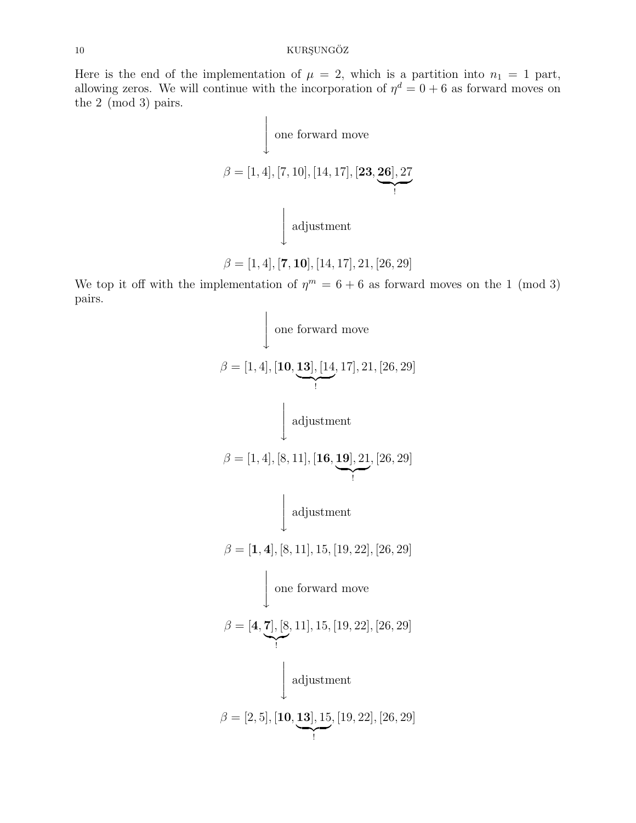### $10$  KURŞUNGÖZ

Here is the end of the implementation of  $\mu = 2$ , which is a partition into  $n_1 = 1$  part, allowing zeros. We will continue with the incorporation of  $\eta^d = 0 + 6$  as forward moves on the 2 (mod 3) pairs.

$$
\downarrow
$$
 one forward move  
\n
$$
\beta = [1, 4], [7, 10], [14, 17], [23, 26], 27
$$
\n
$$
\downarrow
$$
 adjustment  
\n
$$
\beta = [1, 4], [7, 10], [14, 17], 21, [26, 29]
$$

We top it off with the implementation of  $\eta^m = 6 + 6$  as forward moves on the 1 (mod 3) pairs.

$$
β = [1, 4], [10, 13], [14, 17], 21, [26, 29]
$$
\n
$$
β = [1, 4], [8, 11], [16, 19], 21, [26, 29]
$$
\n
$$
β = [1, 4], [8, 11], [15, 19], 22, [26, 29]
$$
\n
$$
β = [1, 4], [8, 11], 15, [19, 22], [26, 29]
$$
\n
$$
β = [4, 7], [8, 11], 15, [19, 22], [26, 29]
$$
\n
$$
β = [2, 5], [10, 13], 15, [19, 22], [26, 29]
$$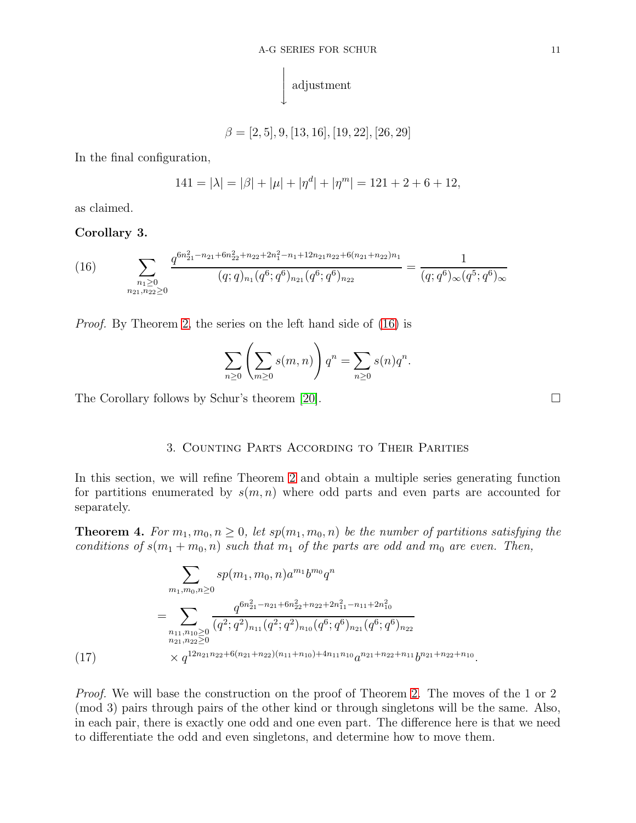

 $\beta = [2, 5], 9, [13, 16], [19, 22], [26, 29]$ 

In the final configuration,

$$
141 = |\lambda| = |\beta| + |\mu| + |\eta^d| + |\eta^m| = 121 + 2 + 6 + 12,
$$

as claimed.

## Corollary 3.

<span id="page-10-1"></span>(16) 
$$
\sum_{\substack{n_1 \geq 0 \\ n_{21}, n_{22} \geq 0}} \frac{q^{6n_{21}^2 - n_{21} + 6n_{22}^2 + n_{22} + 2n_1^2 - n_1 + 12n_{21}n_{22} + 6(n_{21} + n_{22})n_1}}{(q;q)_{n_1}(q^6;q^6)_{n_{21}}(q^6;q^6)_{n_{22}}} = \frac{1}{(q;q^6)_{\infty}(q^5;q^6)_{\infty}}
$$

Proof. By Theorem [2,](#page-2-2) the series on the left hand side of [\(16\)](#page-10-1) is

$$
\sum_{n\geq 0} \left( \sum_{m\geq 0} s(m,n) \right) q^n = \sum_{n\geq 0} s(n) q^n.
$$

<span id="page-10-0"></span>The Corollary follows by Schur's theorem [\[20\]](#page-18-0).

3. Counting Parts According to Their Parities

In this section, we will refine Theorem [2](#page-2-2) and obtain a multiple series generating function for partitions enumerated by  $s(m, n)$  where odd parts and even parts are accounted for separately.

<span id="page-10-3"></span>**Theorem 4.** For  $m_1, m_0, n \geq 0$ , let  $sp(m_1, m_0, n)$  be the number of partitions satisfying the conditions of  $s(m_1 + m_0, n)$  such that  $m_1$  of the parts are odd and  $m_0$  are even. Then,

$$
\sum_{m_1,m_0,n\geq 0} s p(m_1,m_0,n) a^{m_1} b^{m_0} q^n
$$
\n
$$
= \sum_{\substack{n_{11},n_{10}\geq 0\\n_{21},n_{22}\geq 0}} \frac{q^{6n_{21}^2 - n_{21} + 6n_{22}^2 + n_{22} + 2n_{11}^2 - n_{11} + 2n_{10}^2}}{(q^2;q^2)_{n_{11}}(q^2;q^2)_{n_{10}}(q^6;q^6)_{n_{21}}(q^6;q^6)_{n_{22}}} \times q^{12n_{21}n_{22} + 6(n_{21}+n_{22})(n_{11}+n_{10}) + 4n_{11}n_{10}} a^{n_{21}+n_{22}+n_{11}} b^{n_{21}+n_{22}+n_{10}}.
$$

<span id="page-10-2"></span>Proof. We will base the construction on the proof of Theorem [2.](#page-2-2) The moves of the 1 or 2 (mod 3) pairs through pairs of the other kind or through singletons will be the same. Also, in each pair, there is exactly one odd and one even part. The difference here is that we need to differentiate the odd and even singletons, and determine how to move them.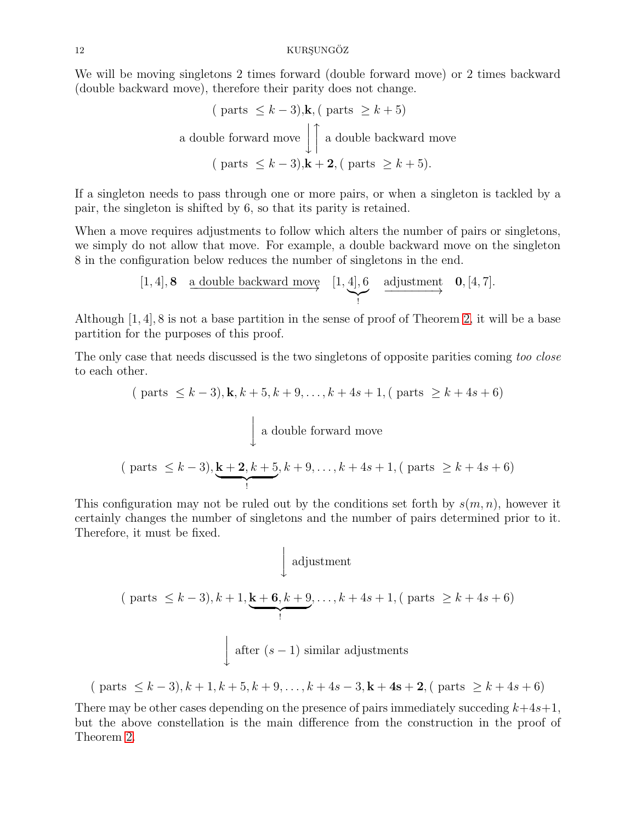We will be moving singletons 2 times forward (double forward move) or 2 times backward (double backward move), therefore their parity does not change.

( parts ≤ 
$$
k - 3
$$
), k, ( parts ≥  $k + 5$ )  
a double forward move  $\Big| \Big|$  a double backward move  
( parts ≤  $k - 3$ ), k + 2, ( parts ≥  $k + 5$ ).

If a singleton needs to pass through one or more pairs, or when a singleton is tackled by a pair, the singleton is shifted by 6, so that its parity is retained.

When a move requires adjustments to follow which alters the number of pairs or singletons, we simply do not allow that move. For example, a double backward move on the singleton 8 in the configuration below reduces the number of singletons in the end.

$$
[1,4], 8 \quad \underline{\text{a double backward move}} \quad [1,4], 6 \quad \underline{\text{adjustment}} \quad \underline{\mathbf{0}}, [4,7].
$$

Although [1, 4], 8 is not a base partition in the sense of proof of Theorem [2,](#page-2-2) it will be a base partition for the purposes of this proof.

The only case that needs discussed is the two singletons of opposite parities coming too close to each other.

$$
\text{(parts } \le k - 3\text{)}, \mathbf{k}, k + 5, k + 9, \dots, k + 4s + 1, \text{(parts } \ge k + 4s + 6\text{)}
$$
\n
$$
\left.\downarrow \text{a double forward move}
$$
\n(parts ≤ k - 3), \underbrace{\mathbf{k} + 2, k + 5}\_{!}, k + 9, \dots, k + 4s + 1, \text{( parts } \ge k + 4s + 6\text{)}

This configuration may not be ruled out by the conditions set forth by  $s(m, n)$ , however it certainly changes the number of singletons and the number of pairs determined prior to it. Therefore, it must be fixed.

$$
\int \text{adjustment}
$$
\n
$$
\left(\text{parts } \le k-3\right), k+1, \underbrace{\mathbf{k+6}, k+9}, \dots, k+4s+1, \left(\text{parts } \ge k+4s+6\right)
$$
\n
$$
\int \text{after } (s-1) \text{ similar adjustments}
$$

$$
(\text{parts } \le k-3), k+1, k+5, k+9, \dots, k+4s-3, k+4s+2, (\text{parts } \ge k+4s+6)
$$

There may be other cases depending on the presence of pairs immediately succeding  $k+4s+1$ , but the above constellation is the main difference from the construction in the proof of Theorem [2.](#page-2-2)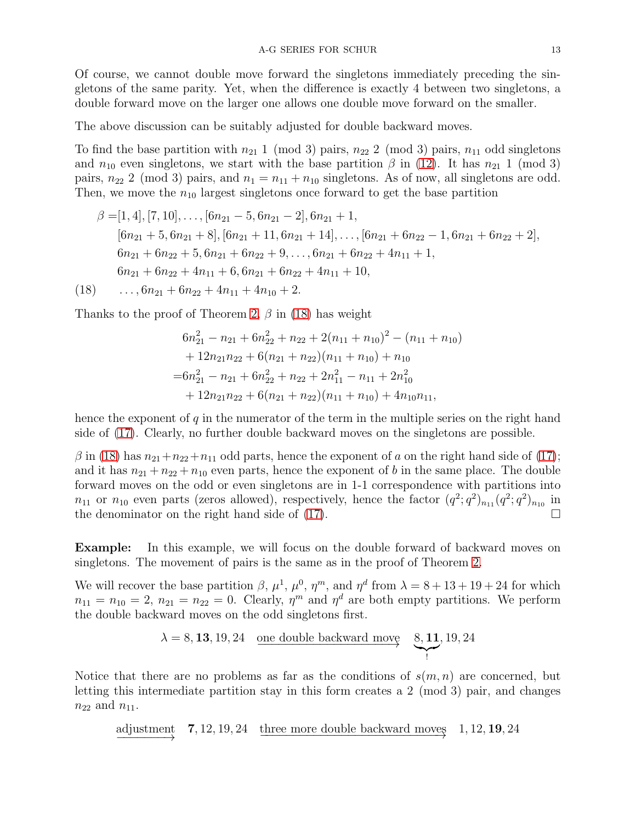Of course, we cannot double move forward the singletons immediately preceding the singletons of the same parity. Yet, when the difference is exactly 4 between two singletons, a double forward move on the larger one allows one double move forward on the smaller.

The above discussion can be suitably adjusted for double backward moves.

To find the base partition with  $n_{21}$  1 (mod 3) pairs,  $n_{22}$  2 (mod 3) pairs,  $n_{11}$  odd singletons and  $n_{10}$  even singletons, we start with the base partition  $\beta$  in [\(12\)](#page-6-0). It has  $n_{21}$  1 (mod 3) pairs,  $n_{22}$  2 (mod 3) pairs, and  $n_1 = n_{11} + n_{10}$  singletons. As of now, all singletons are odd. Then, we move the  $n_{10}$  largest singletons once forward to get the base partition

$$
\beta = [1, 4], [7, 10], \dots, [6n_{21} - 5, 6n_{21} - 2], 6n_{21} + 1,
$$
  
\n
$$
[6n_{21} + 5, 6n_{21} + 8], [6n_{21} + 11, 6n_{21} + 14], \dots, [6n_{21} + 6n_{22} - 1, 6n_{21} + 6n_{22} + 2],
$$
  
\n
$$
6n_{21} + 6n_{22} + 5, 6n_{21} + 6n_{22} + 9, \dots, 6n_{21} + 6n_{22} + 4n_{11} + 1,
$$
  
\n
$$
6n_{21} + 6n_{22} + 4n_{11} + 6, 6n_{21} + 6n_{22} + 4n_{11} + 10,
$$

<span id="page-12-0"></span> $(18)$  ...,  $6n_{21} + 6n_{22} + 4n_{11} + 4n_{10} + 2$ .

Thanks to the proof of Theorem [2,](#page-2-2)  $\beta$  in [\(18\)](#page-12-0) has weight

$$
6n_{21}^2 - n_{21} + 6n_{22}^2 + n_{22} + 2(n_{11} + n_{10})^2 - (n_{11} + n_{10})
$$
  
+ 12n<sub>21</sub>n<sub>22</sub> + 6(n<sub>21</sub> + n<sub>22</sub>)(n<sub>11</sub> + n<sub>10</sub>) + n<sub>10</sub>  
= 6n<sub>21</sub><sup>2</sup> - n<sub>21</sub> + 6n<sub>22</sub><sup>2</sup> + n<sub>22</sub> + 2n<sub>11</sub><sup>2</sup> - n<sub>11</sub> + 2n<sub>10</sub><sup>2</sup>  
+ 12n<sub>21</sub>n<sub>22</sub> + 6(n<sub>21</sub> + n<sub>22</sub>)(n<sub>11</sub> + n<sub>10</sub>) + 4n<sub>10</sub>n<sub>11</sub>,

hence the exponent of  $q$  in the numerator of the term in the multiple series on the right hand side of [\(17\)](#page-10-2). Clearly, no further double backward moves on the singletons are possible.

 $\beta$  in [\(18\)](#page-12-0) has  $n_{21}+n_{22}+n_{11}$  odd parts, hence the exponent of a on the right hand side of [\(17\)](#page-10-2); and it has  $n_{21} + n_{22} + n_{10}$  even parts, hence the exponent of b in the same place. The double forward moves on the odd or even singletons are in 1-1 correspondence with partitions into  $n_{11}$  or  $n_{10}$  even parts (zeros allowed), respectively, hence the factor  $(q^2; q^2)_{n_{11}}(q^2; q^2)_{n_{10}}$  in the denominator on the right hand side of [\(17\)](#page-10-2).  $\Box$ 

Example: In this example, we will focus on the double forward of backward moves on singletons. The movement of pairs is the same as in the proof of Theorem [2.](#page-2-2)

We will recover the base partition  $\beta$ ,  $\mu^1$ ,  $\mu^0$ ,  $\eta^m$ , and  $\eta^d$  from  $\lambda = 8 + 13 + 19 + 24$  for which  $n_{11} = n_{10} = 2, n_{21} = n_{22} = 0$ . Clearly,  $\eta^m$  and  $\eta^d$  are both empty partitions. We perform the double backward moves on the odd singletons first.

$$
\lambda = 8, 13, 19, 24 \quad \text{one double backward move} \quad \underset{1}{\underbrace{8, 11}} \, , 19, 24
$$

Notice that there are no problems as far as the conditions of  $s(m, n)$  are concerned, but letting this intermediate partition stay in this form creates a 2 (mod 3) pair, and changes  $n_{22}$  and  $n_{11}$ .

adjustment  $\overrightarrow{adjustment}$  **7**, 12, 19, 24 three more double backward moves  $1, 12, 19, 24$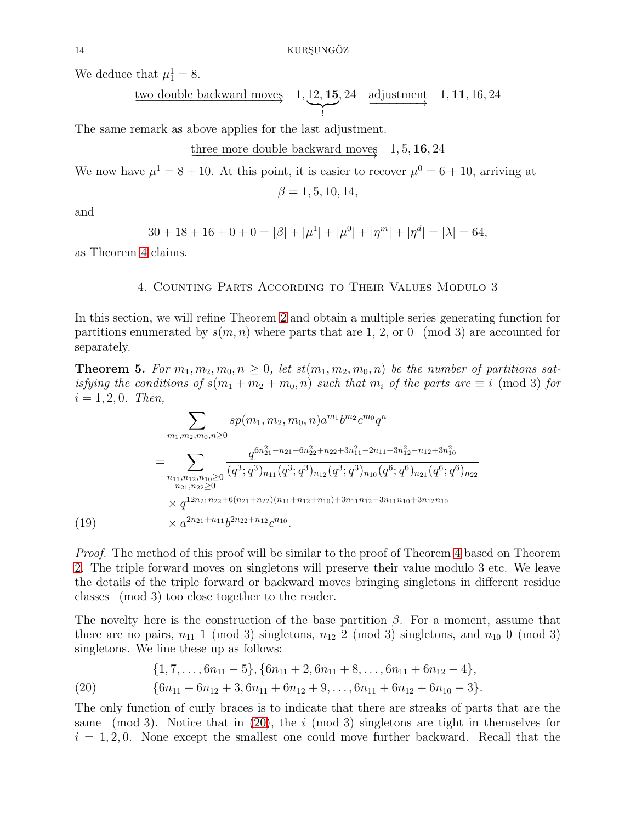We deduce that  $\mu_1^1 = 8$ .

$$
\xrightarrow{\text{two double backward moves}} 1, \underbrace{12, 15}_{!}, 24 \quad \xrightarrow{\text{adjustment}} 1, 11, 16, 24
$$

The same remark as above applies for the last adjustment.

three more double backward moves 
$$
1, 5, 16, 24
$$

We now have  $\mu^1 = 8 + 10$ . At this point, it is easier to recover  $\mu^0 = 6 + 10$ , arriving at

 $\beta = 1, 5, 10, 14,$ 

and

$$
30 + 18 + 16 + 0 + 0 = |\beta| + |\mu^1| + |\mu^0| + |\eta^m| + |\eta^d| = |\lambda| = 64,
$$

<span id="page-13-0"></span>as Theorem [4](#page-10-3) claims.

## 4. Counting Parts According to Their Values Modulo 3

In this section, we will refine Theorem [2](#page-2-2) and obtain a multiple series generating function for partitions enumerated by  $s(m, n)$  where parts that are 1, 2, or 0 (mod 3) are accounted for separately.

<span id="page-13-2"></span>**Theorem 5.** For  $m_1, m_2, m_0, n \geq 0$ , let  $st(m_1, m_2, m_0, n)$  be the number of partitions satisfying the conditions of  $s(m_1 + m_2 + m_0, n)$  such that  $m_i$  of the parts are  $\equiv i \pmod{3}$  for  $i = 1, 2, 0$ . Then,

$$
\sum_{m_1, m_2, m_0, n \ge 0} s p(m_1, m_2, m_0, n) a^{m_1} b^{m_2} c^{m_0} q^n
$$
\n
$$
= \sum_{\substack{n_1, n_1, n_1, n_2, n_0 \ge 0 \\ n_{21}, n_{22} \ge 0}} \frac{q^{6n_{21}^2 - n_{21} + 6n_{22}^2 + n_{22} + 3n_{11}^2 - 2n_{11} + 3n_{12}^2 - n_{12} + 3n_{10}^2}}{(q^3; q^3)_{n_{11}} (q^3; q^3)_{n_{12}} (q^3; q^3)_{n_{10}} (q^6; q^6)_{n_{21}} (q^6; q^6)_{n_{22}}}
$$
\n
$$
\times q^{12n_{21}n_{22} + 6(n_{21} + n_{22})(n_{11} + n_{12} + n_{10}) + 3n_{11}n_{12} + 3n_{11}n_{10} + 3n_{12}n_{10}}
$$
\n
$$
(19) \times a^{2n_{21} + n_{11}} b^{2n_{22} + n_{12}} c^{n_{10}}.
$$

Proof. The method of this proof will be similar to the proof of Theorem [4](#page-10-3) based on Theorem [2.](#page-2-2) The triple forward moves on singletons will preserve their value modulo 3 etc. We leave the details of the triple forward or backward moves bringing singletons in different residue classes (mod 3) too close together to the reader.

The novelty here is the construction of the base partition  $\beta$ . For a moment, assume that there are no pairs,  $n_{11}$  1 (mod 3) singletons,  $n_{12}$  2 (mod 3) singletons, and  $n_{10}$  0 (mod 3) singletons. We line these up as follows:

$$
{1, 7, \ldots, 6n_{11}-5}, {6n_{11}+2, 6n_{11}+8, \ldots, 6n_{11}+6n_{12}-4},
$$

<span id="page-13-1"></span>(20) 
$$
{6n_{11} + 6n_{12} + 3, 6n_{11} + 6n_{12} + 9,..., 6n_{11} + 6n_{12} + 6n_{10} - 3}.
$$

The only function of curly braces is to indicate that there are streaks of parts that are the same (mod 3). Notice that in [\(20\)](#page-13-1), the  $i \pmod{3}$  singletons are tight in themselves for  $i = 1, 2, 0$ . None except the smallest one could move further backward. Recall that the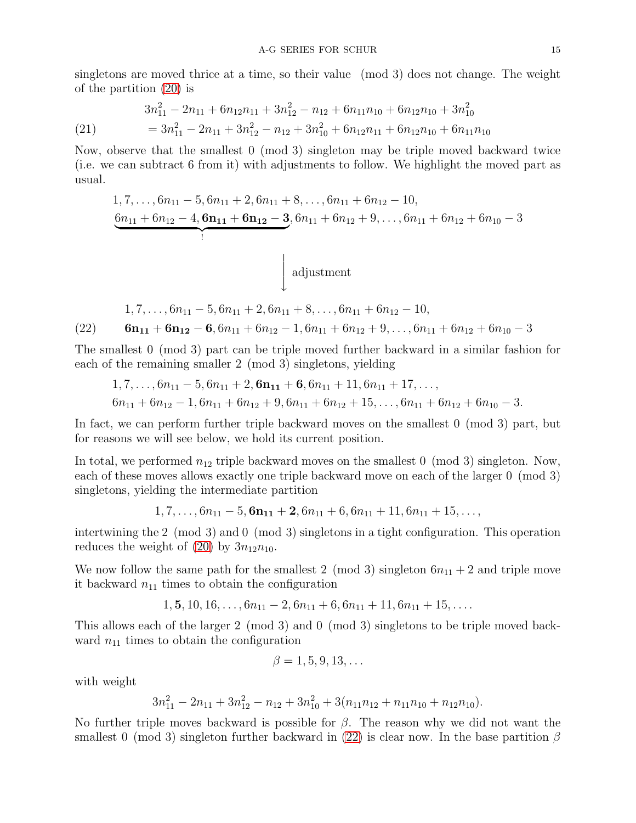singletons are moved thrice at a time, so their value (mod 3) does not change. The weight of the partition [\(20\)](#page-13-1) is

(21) 
$$
3n_{11}^2 - 2n_{11} + 6n_{12}n_{11} + 3n_{12}^2 - n_{12} + 6n_{11}n_{10} + 6n_{12}n_{10} + 3n_{10}^2
$$

$$
= 3n_{11}^2 - 2n_{11} + 3n_{12}^2 - n_{12} + 3n_{10}^2 + 6n_{12}n_{11} + 6n_{12}n_{10} + 6n_{11}n_{10}
$$

Now, observe that the smallest 0 (mod 3) singleton may be triple moved backward twice (i.e. we can subtract 6 from it) with adjustments to follow. We highlight the moved part as usual.

1, 7, . . . , 6n<sup>11</sup> − 5, 6n<sup>11</sup> + 2, 6n<sup>11</sup> + 8, . . . , 6n<sup>11</sup> + 6n<sup>12</sup> − 10, 6n<sup>11</sup> + 6n<sup>12</sup> − 4, 6n<sup>11</sup> + 6n<sup>12</sup> − 3 | {z } ! , 6n<sup>11</sup> + 6n<sup>12</sup> + 9, . . . , 6n<sup>11</sup> + 6n<sup>12</sup> + 6n<sup>10</sup> − 3 y adjustment

<span id="page-14-0"></span>
$$
1, 7, \ldots, 6n_{11} - 5, 6n_{11} + 2, 6n_{11} + 8, \ldots, 6n_{11} + 6n_{12} - 10,
$$
  
(22) 
$$
6n_{11} + 6n_{12} - 6, 6n_{11} + 6n_{12} - 1, 6n_{11} + 6n_{12} + 9, \ldots, 6n_{11} + 6n_{12} + 6n_{10} - 3
$$

The smallest 0 (mod 3) part can be triple moved further backward in a similar fashion for each of the remaining smaller 2 (mod 3) singletons, yielding

$$
1, 7, \ldots, 6n_{11} - 5, 6n_{11} + 2, 6n_{11} + 6, 6n_{11} + 11, 6n_{11} + 17, \ldots, 6n_{11} + 6n_{12} - 1, 6n_{11} + 6n_{12} + 9, 6n_{11} + 6n_{12} + 15, \ldots, 6n_{11} + 6n_{12} + 6n_{10} - 3.
$$

In fact, we can perform further triple backward moves on the smallest 0 (mod 3) part, but for reasons we will see below, we hold its current position.

In total, we performed  $n_{12}$  triple backward moves on the smallest 0 (mod 3) singleton. Now, each of these moves allows exactly one triple backward move on each of the larger 0 (mod 3) singletons, yielding the intermediate partition

 $1, 7, \ldots, 6n_{11} - 5$ ,  $6n_{11} + 2$ ,  $6n_{11} + 6$ ,  $6n_{11} + 11$ ,  $6n_{11} + 15$ , ...

intertwining the 2 (mod 3) and 0 (mod 3) singletons in a tight configuration. This operation reduces the weight of  $(20)$  by  $3n_{12}n_{10}$ .

We now follow the same path for the smallest 2 (mod 3) singleton  $6n_{11} + 2$  and triple move it backward  $n_{11}$  times to obtain the configuration

$$
1, 5, 10, 16, \ldots, 6n_{11} - 2, 6n_{11} + 6, 6n_{11} + 11, 6n_{11} + 15, \ldots
$$

This allows each of the larger 2 (mod 3) and 0 (mod 3) singletons to be triple moved backward  $n_{11}$  times to obtain the configuration

$$
\beta = 1, 5, 9, 13, \dots
$$

with weight

$$
3n_{11}^2 - 2n_{11} + 3n_{12}^2 - n_{12} + 3n_{10}^2 + 3(n_{11}n_{12} + n_{11}n_{10} + n_{12}n_{10}).
$$

No further triple moves backward is possible for  $\beta$ . The reason why we did not want the smallest 0 (mod 3) singleton further backward in [\(22\)](#page-14-0) is clear now. In the base partition  $\beta$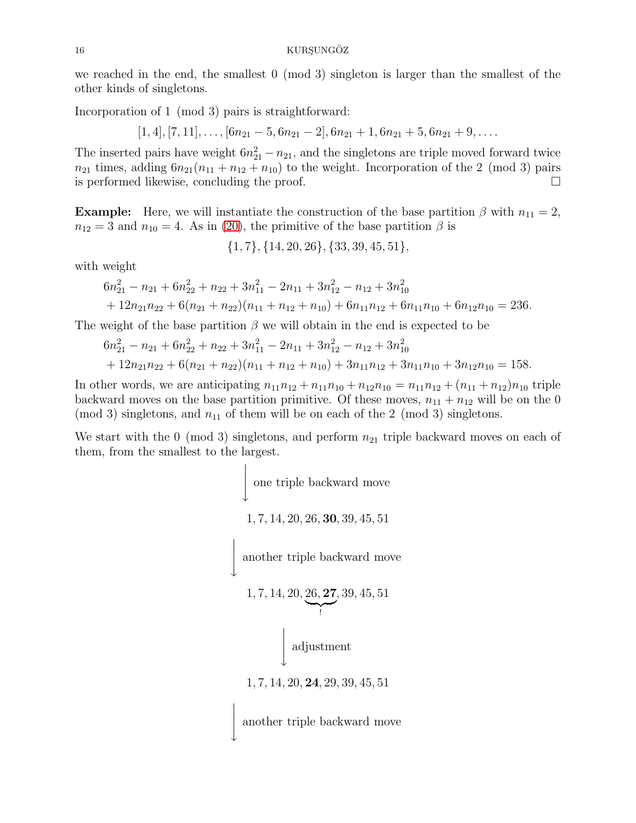we reached in the end, the smallest 0 (mod 3) singleton is larger than the smallest of the other kinds of singletons.

Incorporation of 1 (mod 3) pairs is straightforward:

 $[1, 4], [7, 11], \ldots, [6n_{21} - 5, 6n_{21} - 2], 6n_{21} + 1, 6n_{21} + 5, 6n_{21} + 9, \ldots$ 

The inserted pairs have weight  $6n_{21}^2 - n_{21}$ , and the singletons are triple moved forward twice  $n_{21}$  times, adding  $6n_{21}(n_{11} + n_{12} + n_{10})$  to the weight. Incorporation of the 2 (mod 3) pairs is performed likewise, concluding the proof.

**Example:** Here, we will instantiate the construction of the base partition  $\beta$  with  $n_{11} = 2$ ,  $n_{12} = 3$  and  $n_{10} = 4$ . As in [\(20\)](#page-13-1), the primitive of the base partition  $\beta$  is

{1, 7}, {14, 20, 26}, {33, 39, 45, 51},

with weight

$$
6n_{21}^2 - n_{21} + 6n_{22}^2 + n_{22} + 3n_{11}^2 - 2n_{11} + 3n_{12}^2 - n_{12} + 3n_{10}^2
$$
  
+ 12n<sub>21</sub>n<sub>22</sub> + 6(n<sub>21</sub> + n<sub>22</sub>)(n<sub>11</sub> + n<sub>12</sub> + n<sub>10</sub>) + 6n<sub>11</sub>n<sub>12</sub> + 6n<sub>11</sub>n<sub>10</sub> + 6n<sub>12</sub>n<sub>10</sub> = 236.

The weight of the base partition  $\beta$  we will obtain in the end is expected to be

$$
6n_{21}^2 - n_{21} + 6n_{22}^2 + n_{22} + 3n_{11}^2 - 2n_{11} + 3n_{12}^2 - n_{12} + 3n_{10}^2
$$
  
+ 12n<sub>21</sub>n<sub>22</sub> + 6(n<sub>21</sub> + n<sub>22</sub>)(n<sub>11</sub> + n<sub>12</sub> + n<sub>10</sub>) + 3n<sub>11</sub>n<sub>12</sub> + 3n<sub>11</sub>n<sub>10</sub> + 3n<sub>12</sub>n<sub>10</sub> = 158.

In other words, we are anticipating  $n_{11}n_{12} + n_{11}n_{10} + n_{12}n_{10} = n_{11}n_{12} + (n_{11} + n_{12})n_{10}$  triple backward moves on the base partition primitive. Of these moves,  $n_{11} + n_{12}$  will be on the 0 (mod 3) singletons, and  $n_{11}$  of them will be on each of the 2 (mod 3) singletons.

We start with the 0 (mod 3) singletons, and perform  $n_{21}$  triple backward moves on each of them, from the smallest to the largest.

> $\leftarrow$ one triple backward move 1, 7, 14, 20, 26, 30, 39, 45, 51  $\begin{array}{c} \hline \end{array}$  $\frac{1}{2}$  $\overline{1}$  $\overline{1}$  $\downarrow$ another triple backward move 1, 7, 14, 20, 26, 27  $\bigcap_{i}$  $, 39, 45, 51$  $\leftarrow$ adjustment 1, 7, 14, 20, 24, 29, 39, 45, 51  $\begin{array}{c} \hline \end{array}$  $\overline{1}$  $\overline{1}$ another triple backward move

 $\frac{1}{2}$  $\downarrow$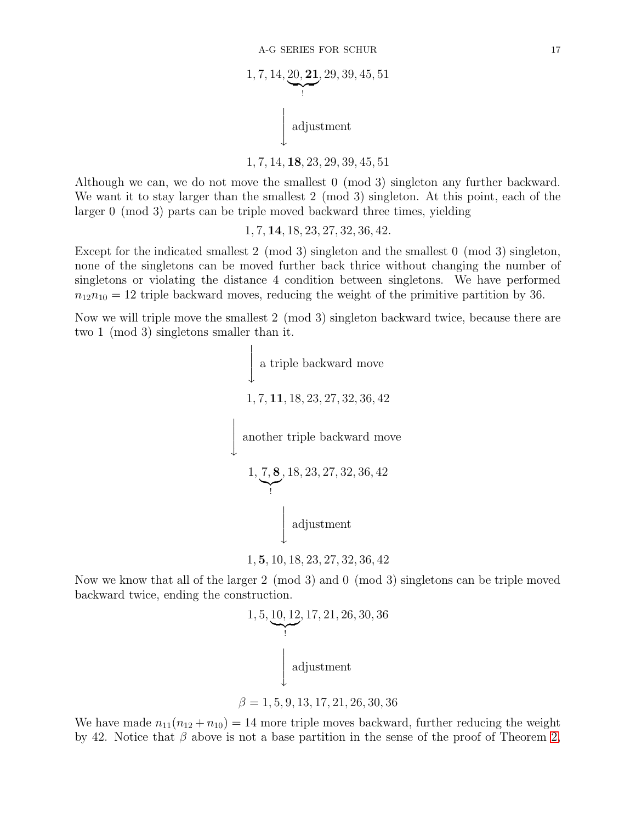1, 7, 14, 20, 21 | {z } ! , 29, 39, 45, 51 y adjustment

1, 7, 14, 18, 23, 29, 39, 45, 51

Although we can, we do not move the smallest 0 (mod 3) singleton any further backward. We want it to stay larger than the smallest 2 (mod 3) singleton. At this point, each of the larger 0 (mod 3) parts can be triple moved backward three times, yielding

1, 7, 14, 18, 23, 27, 32, 36, 42.

Except for the indicated smallest 2 (mod 3) singleton and the smallest 0 (mod 3) singleton, none of the singletons can be moved further back thrice without changing the number of singletons or violating the distance 4 condition between singletons. We have performed  $n_{12}n_{10} = 12$  triple backward moves, reducing the weight of the primitive partition by 36.

Now we will triple move the smallest 2 (mod 3) singleton backward twice, because there are two 1 (mod 3) singletons smaller than it.

> $\leftarrow$ a triple backward move 1, 7, 11, 18, 23, 27, 32, 36, 42  $\leftarrow$ another triple backward move 1, 7, 8  $\bigvee$ , 18, 23, 27, 32, 36, 42  $\leftarrow$ adjustment

$$
1, \boldsymbol{5}, 10, 18, 23, 27, 32, 36, 42
$$

Now we know that all of the larger 2 (mod 3) and 0 (mod 3) singletons can be triple moved backward twice, ending the construction.

1, 5, 10, 12, 17, 21, 26, 30, 36  
\n
$$
\downarrow \text{adjustment}
$$
\n
$$
\beta = 1, 5, 9, 13, 17, 21, 26, 30, 36
$$

We have made  $n_{11}(n_{12} + n_{10}) = 14$  more triple moves backward, further reducing the weight by 42. Notice that  $\beta$  above is not a base partition in the sense of the proof of Theorem [2,](#page-2-2)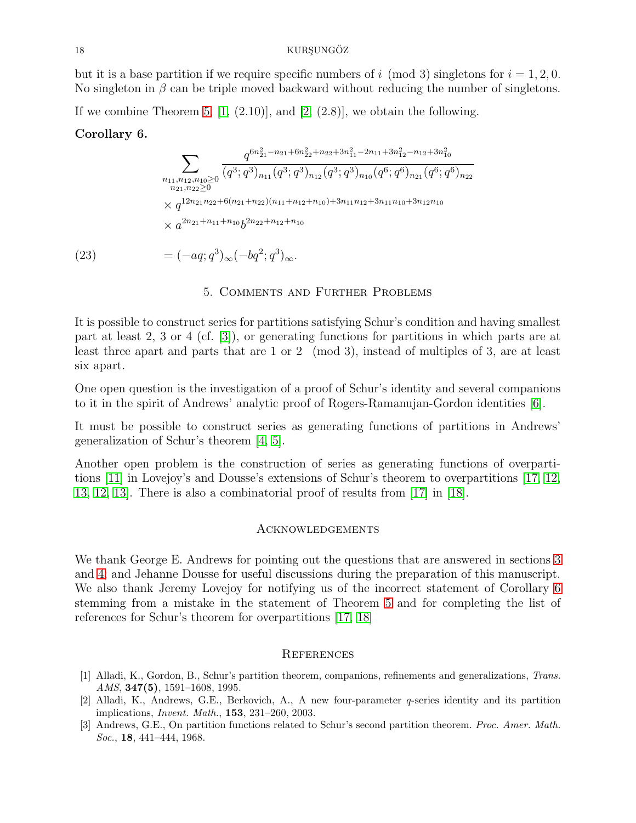#### 18 KURSUNGÖZ

but it is a base partition if we require specific numbers of i (mod 3) singletons for  $i = 1, 2, 0$ . No singleton in  $\beta$  can be triple moved backward without reducing the number of singletons.

If we combine Theorem [5,](#page-13-2)  $[1, (2.10)]$ , and  $[2, (2.8)]$ , we obtain the following.

## <span id="page-17-3"></span>Corollary 6.

$$
\sum_{\substack{n_{11},n_{12},n_{10}\geq 0\\n_{21},n_{22}\geq 0}}\frac{q^{6n_{21}^2-n_{21}+6n_{22}^2+n_{22}+3n_{11}^2-2n_{11}+3n_{12}^2-n_{12}+3n_{10}^2}}{(q^3;q^3)_{n_{11}}(q^3;q^3)_{n_{12}}(q^3;q^3)_{n_{10}}(q^6;q^6)_{n_{21}}(q^6;q^6)_{n_{22}}}
$$
  

$$
\times q^{12n_{21}n_{22}+6(n_{21}+n_{22})(n_{11}+n_{12}+n_{10})+3n_{11}n_{12}+3n_{11}n_{10}+3n_{12}n_{10}}
$$
  

$$
\times a^{2n_{21}+n_{11}+n_{10}}b^{2n_{22}+n_{12}+n_{10}}
$$

(23)  $= (-aq; q^3)_{\infty} (-bq^2; q^3)_{\infty}.$ 

## 5. Comments and Further Problems

It is possible to construct series for partitions satisfying Schur's condition and having smallest part at least 2, 3 or 4 (cf. [\[3\]](#page-17-1)), or generating functions for partitions in which parts are at least three apart and parts that are 1 or 2 (mod 3), instead of multiples of 3, are at least six apart.

One open question is the investigation of a proof of Schur's identity and several companions to it in the spirit of Andrews' analytic proof of Rogers-Ramanujan-Gordon identities [\[6\]](#page-18-5).

It must be possible to construct series as generating functions of partitions in Andrews' generalization of Schur's theorem [\[4,](#page-18-10) [5\]](#page-18-11).

Another open problem is the construction of series as generating functions of overpartitions [\[11\]](#page-18-12) in Lovejoy's and Dousse's extensions of Schur's theorem to overpartitions [\[17,](#page-18-13) [12,](#page-18-14) [13,](#page-18-15) [12,](#page-18-14) [13\]](#page-18-15). There is also a combinatorial proof of results from [\[17\]](#page-18-13) in [\[18\]](#page-18-16).

### Acknowledgements

We thank George E. Andrews for pointing out the questions that are answered in sections [3](#page-10-0) and [4;](#page-13-0) and Jehanne Dousse for useful discussions during the preparation of this manuscript. We also thank Jeremy Lovejoy for notifying us of the incorrect statement of Corollary [6](#page-17-3) stemming from a mistake in the statement of Theorem [5](#page-13-2) and for completing the list of references for Schur's theorem for overpartitions [\[17,](#page-18-13) [18\]](#page-18-16)

#### **REFERENCES**

- <span id="page-17-0"></span>[1] Alladi, K., Gordon, B., Schur's partition theorem, companions, refinements and generalizations, Trans. AMS,  $347(5)$ ,  $1591-1608$ , 1995.
- <span id="page-17-2"></span>[2] Alladi, K., Andrews, G.E., Berkovich, A., A new four-parameter q-series identity and its partition implications, Invent. Math., 153, 231–260, 2003.
- <span id="page-17-1"></span>[3] Andrews, G.E., On partition functions related to Schur's second partition theorem. Proc. Amer. Math. Soc., **18**, 441–444, 1968.